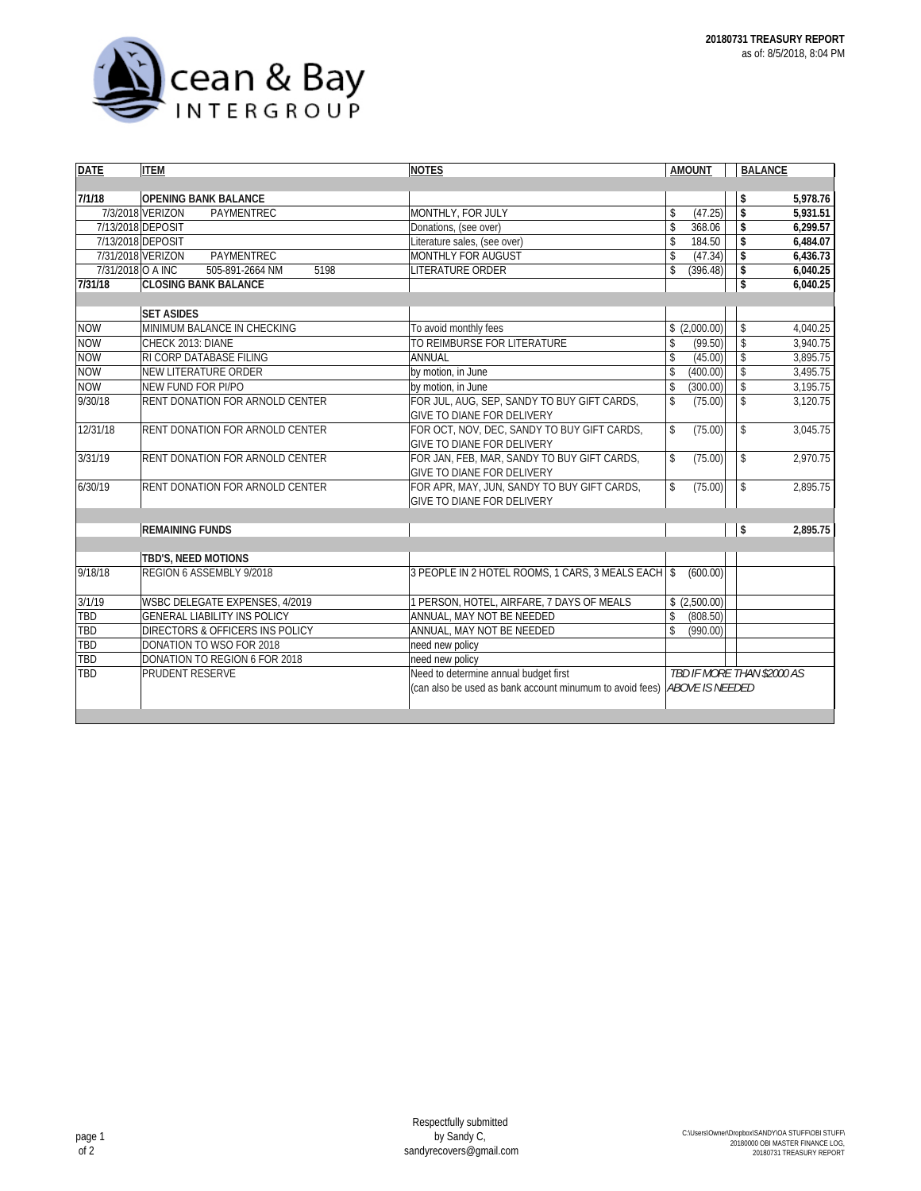

| <b>DATE</b> | <b>ITEM</b>                                  | <b>NOTES</b>                                             | <b>AMOUNT</b>                  | <b>BALANCE</b> |          |
|-------------|----------------------------------------------|----------------------------------------------------------|--------------------------------|----------------|----------|
|             |                                              |                                                          |                                |                |          |
| 7/1/18      | <b>OPENING BANK BALANCE</b>                  |                                                          |                                | \$             | 5,978.76 |
|             | 7/3/2018 VERIZON<br>PAYMENTREC               | MONTHLY, FOR JULY                                        | (47.25)<br>\$                  | \$             | 5,931.51 |
|             | 7/13/2018 DEPOSIT                            | Donations, (see over)                                    | \$<br>368.06                   | \$             | 6,299.57 |
|             | 7/13/2018 DEPOSIT                            | Literature sales, (see over)                             | \$<br>184.50                   | \$             | 6,484.07 |
|             | PAYMENTREC<br>7/31/2018 VERIZON              | MONTHLY FOR AUGUST                                       | \$<br>(47.34)                  | \$             | 6.436.73 |
|             | 7/31/2018 O A INC<br>505-891-2664 NM<br>5198 | <b>LITERATURE ORDER</b>                                  | $\mathbf{\hat{S}}$<br>(396.48) | \$             | 6.040.25 |
| 7/31/18     | <b>CLOSING BANK BALANCE</b>                  |                                                          |                                | \$             | 6,040.25 |
|             |                                              |                                                          |                                |                |          |
|             | <b>SET ASIDES</b>                            |                                                          |                                |                |          |
| <b>NOW</b>  | MINIMUM BALANCE IN CHECKING                  | To avoid monthly fees                                    | \$(2,000.00)                   | \$             | 4,040.25 |
| <b>NOW</b>  | CHECK 2013: DIANE                            | TO REIMBURSE FOR LITERATURE                              | \$<br>(99.50)                  | \$             | 3,940.75 |
| <b>NOW</b>  | <b>RI CORP DATABASE FILING</b>               | ANNUAL                                                   | \$<br>(45.00)                  | \$             | 3,895.75 |
| <b>NOW</b>  | <b>NEW LITERATURE ORDER</b>                  | by motion, in June                                       | \$<br>(400.00)                 | \$             | 3,495.75 |
| <b>NOW</b>  | NEW FUND FOR PI/PO                           | by motion, in June                                       | \$<br>(300.00)                 | \$             | 3,195.75 |
| 9/30/18     | <b>RENT DONATION FOR ARNOLD CENTER</b>       | FOR JUL, AUG, SEP, SANDY TO BUY GIFT CARDS,              | \$<br>(75.00)                  | \$             | 3,120.75 |
|             |                                              | <b>GIVE TO DIANE FOR DELIVERY</b>                        |                                |                |          |
| 12/31/18    | <b>RENT DONATION FOR ARNOLD CENTER</b>       | FOR OCT, NOV, DEC, SANDY TO BUY GIFT CARDS,              | $\mathbb{S}$<br>(75.00)        | $\mathsf{\$}$  | 3,045.75 |
|             |                                              | GIVE TO DIANE FOR DELIVERY                               |                                |                |          |
| 3/31/19     | <b>RENT DONATION FOR ARNOLD CENTER</b>       | FOR JAN. FEB. MAR. SANDY TO BUY GIFT CARDS.              | \$<br>(75.00)                  | \$             | 2.970.75 |
|             |                                              | <b>GIVE TO DIANE FOR DELIVERY</b>                        |                                |                |          |
| 6/30/19     | <b>RENT DONATION FOR ARNOLD CENTER</b>       | FOR APR, MAY, JUN, SANDY TO BUY GIFT CARDS,              | $\mathbb{S}$<br>(75.00)        | \$             | 2,895.75 |
|             |                                              | GIVE TO DIANE FOR DELIVERY                               |                                |                |          |
|             |                                              |                                                          |                                |                |          |
|             | <b>REMAINING FUNDS</b>                       |                                                          |                                | \$             | 2,895.75 |
|             |                                              |                                                          |                                |                |          |
|             | TBD'S, NEED MOTIONS                          |                                                          |                                |                |          |
| 9/18/18     | REGION 6 ASSEMBLY 9/2018                     | 3 PEOPLE IN 2 HOTEL ROOMS, 1 CARS, 3 MEALS EACH \$       | (600.00)                       |                |          |
|             |                                              |                                                          |                                |                |          |
| 3/1/19      | WSBC DELEGATE EXPENSES, 4/2019               | 1 PERSON, HOTEL, AIRFARE, 7 DAYS OF MEALS                | (2,500.00)<br>\$               |                |          |
| TBD         | <b>GENERAL LIABILITY INS POLICY</b>          | ANNUAL, MAY NOT BE NEEDED                                | \$<br>(808.50)                 |                |          |
| TBD         | DIRECTORS & OFFICERS INS POLICY              | ANNUAL, MAY NOT BE NEEDED                                | \$<br>(990.00)                 |                |          |
| TBD         | DONATION TO WSO FOR 2018                     | need new policy                                          |                                |                |          |
| TBD         | DONATION TO REGION 6 FOR 2018                | need new policy                                          |                                |                |          |
| TBD         | <b>PRUDENT RESERVE</b>                       | Need to determine annual budget first                    | TBD IF MORE THAN \$2000 AS     |                |          |
|             |                                              | (can also be used as bank account minumum to avoid fees) | <b>ABOVE IS NEEDED</b>         |                |          |
|             |                                              |                                                          |                                |                |          |
|             |                                              |                                                          |                                |                |          |